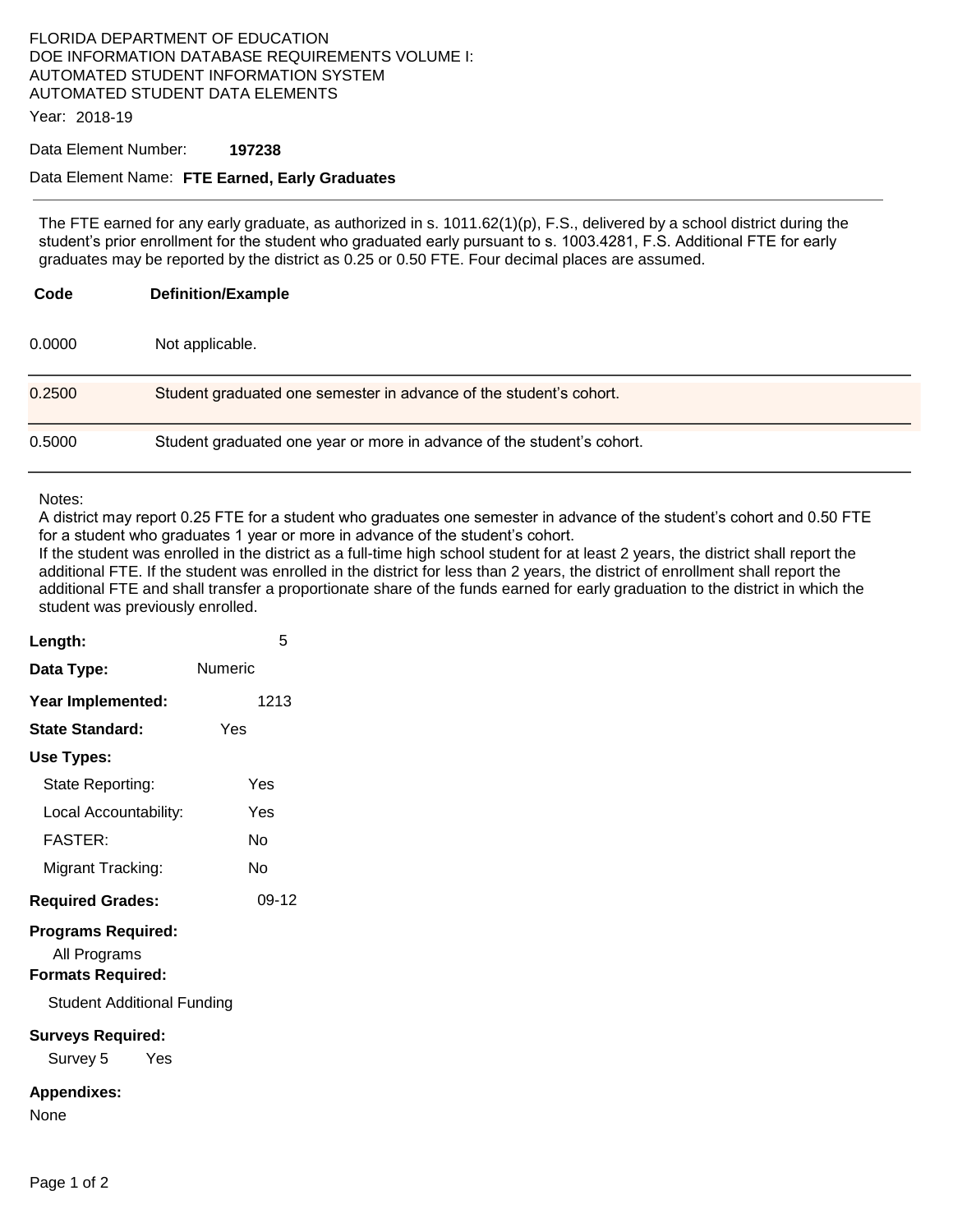## FLORIDA DEPARTMENT OF EDUCATION DOE INFORMATION DATABASE REQUIREMENTS VOLUME I: AUTOMATED STUDENT INFORMATION SYSTEM AUTOMATED STUDENT DATA ELEMENTS

Year: 2018-19

#### Data Element Number: **197238**

### Data Element Name: **FTE Earned, Early Graduates**

The FTE earned for any early graduate, as authorized in s. 1011.62(1)(p), F.S., delivered by a school district during the student's prior enrollment for the student who graduated early pursuant to s. 1003.4281, F.S. Additional FTE for early graduates may be reported by the district as 0.25 or 0.50 FTE. Four decimal places are assumed.

| Code   | <b>Definition/Example</b>                                              |
|--------|------------------------------------------------------------------------|
| 0.0000 | Not applicable.                                                        |
| 0.2500 | Student graduated one semester in advance of the student's cohort.     |
| 0.5000 | Student graduated one year or more in advance of the student's cohort. |

#### Notes:

A district may report 0.25 FTE for a student who graduates one semester in advance of the student's cohort and 0.50 FTE for a student who graduates 1 year or more in advance of the student's cohort.

If the student was enrolled in the district as a full-time high school student for at least 2 years, the district shall report the additional FTE. If the student was enrolled in the district for less than 2 years, the district of enrollment shall report the additional FTE and shall transfer a proportionate share of the funds earned for early graduation to the district in which the student was previously enrolled.

| Length:                                                               | 5       |  |  |  |
|-----------------------------------------------------------------------|---------|--|--|--|
| Data Type:                                                            | Numeric |  |  |  |
| Year Implemented:                                                     | 1213    |  |  |  |
| <b>State Standard:</b>                                                | Yes     |  |  |  |
| Use Types:                                                            |         |  |  |  |
| State Reporting:                                                      | Yes     |  |  |  |
| Local Accountability:                                                 | Yes     |  |  |  |
| <b>FASTER:</b>                                                        | N٥      |  |  |  |
| Migrant Tracking:                                                     | N٥      |  |  |  |
| <b>Required Grades:</b>                                               | $09-12$ |  |  |  |
| <b>Programs Required:</b><br>All Programs<br><b>Formats Required:</b> |         |  |  |  |
| <b>Student Additional Funding</b>                                     |         |  |  |  |
| <b>Surveys Required:</b><br>Survey 5<br>Yes                           |         |  |  |  |
| <b>Appendixes:</b><br>None                                            |         |  |  |  |